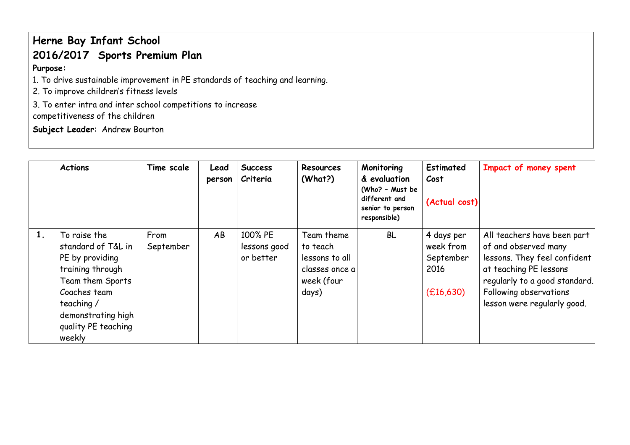## **Herne Bay Infant School 2016/2017 Sports Premium Plan**

**Purpose:**

1. To drive sustainable improvement in PE standards of teaching and learning.

2. To improve children's fitness levels

3. To enter intra and inter school competitions to increase

competitiveness of the children

**Subject Leader**: Andrew Bourton

|                | <b>Actions</b>                                                                                                                                                                     | Time scale        | Lead<br>person | <b>Success</b><br>Criteria           | Resources<br>(What?)                                                              | Monitoring<br>& evaluation<br>(Who? - Must be<br>different and<br>senior to person<br>responsible) | Estimated<br>Cost<br>(Actual cost)                        | Impact of money spent                                                                                                                                                                                   |
|----------------|------------------------------------------------------------------------------------------------------------------------------------------------------------------------------------|-------------------|----------------|--------------------------------------|-----------------------------------------------------------------------------------|----------------------------------------------------------------------------------------------------|-----------------------------------------------------------|---------------------------------------------------------------------------------------------------------------------------------------------------------------------------------------------------------|
| 1 <sub>1</sub> | To raise the<br>standard of T&L in<br>PE by providing<br>training through<br>Team them Sports<br>Coaches team<br>teaching /<br>demonstrating high<br>quality PE teaching<br>weekly | From<br>September | AB             | 100% PE<br>lessons good<br>or better | Team theme<br>to teach<br>lessons to all<br>classes once a<br>week (four<br>days) | <b>BL</b>                                                                                          | 4 days per<br>week from<br>September<br>2016<br>(E16,630) | All teachers have been part<br>of and observed many<br>lessons. They feel confident<br>at teaching PE lessons<br>regularly to a good standard.<br>Following observations<br>lesson were regularly good. |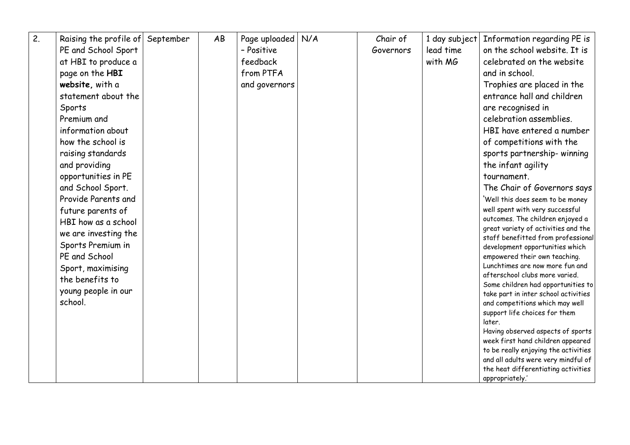| on the school website. It is<br>celebrated on the website<br>Trophies are placed in the |
|-----------------------------------------------------------------------------------------|
|                                                                                         |
|                                                                                         |
|                                                                                         |
|                                                                                         |
| entrance hall and children                                                              |
| are recognised in                                                                       |
| celebration assemblies.                                                                 |
| HBI have entered a number                                                               |
| of competitions with the                                                                |
| sports partnership-winning                                                              |
| the infant agility                                                                      |
|                                                                                         |
| The Chair of Governors says                                                             |
| 'Well this does seem to be money                                                        |
| well spent with very successful                                                         |
| outcomes. The children enjoyed a                                                        |
| great variety of activities and the<br>staff benefitted from professional               |
| development opportunities which                                                         |
| empowered their own teaching.                                                           |
| Lunchtimes are now more fun and                                                         |
| afterschool clubs more varied.                                                          |
| Some children had opportunities to                                                      |
| take part in inter school activities<br>and competitions which may well                 |
| support life choices for them                                                           |
|                                                                                         |
| Having observed aspects of sports                                                       |
| week first hand children appeared                                                       |
| to be really enjoying the activities                                                    |
| and all adults were very mindful of                                                     |
| the heat differentiating activities                                                     |
|                                                                                         |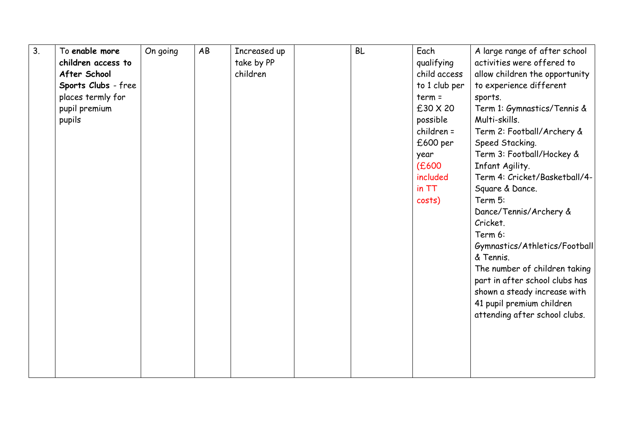| 3. | To enable more      | On going | AB | Increased up | <b>BL</b> | Each          | A large range of after school  |
|----|---------------------|----------|----|--------------|-----------|---------------|--------------------------------|
|    | children access to  |          |    | take by PP   |           | qualifying    | activities were offered to     |
|    | After School        |          |    | children     |           | child access  | allow children the opportunity |
|    | Sports Clubs - free |          |    |              |           | to 1 club per | to experience different        |
|    | places termly for   |          |    |              |           | $term =$      | sports.                        |
|    | pupil premium       |          |    |              |           | £30 X 20      | Term 1: Gymnastics/Tennis &    |
|    | pupils              |          |    |              |           | possible      | Multi-skills.                  |
|    |                     |          |    |              |           | children =    | Term 2: Football/Archery &     |
|    |                     |          |    |              |           | £600 per      | Speed Stacking.                |
|    |                     |          |    |              |           | year          | Term 3: Football/Hockey &      |
|    |                     |          |    |              |           | (E600)        | Infant Agility.                |
|    |                     |          |    |              |           | included      | Term 4: Cricket/Basketball/4-  |
|    |                     |          |    |              |           | in TT         | Square & Dance.                |
|    |                     |          |    |              |           | costs)        | Term 5:                        |
|    |                     |          |    |              |           |               | Dance/Tennis/Archery &         |
|    |                     |          |    |              |           |               | Cricket.                       |
|    |                     |          |    |              |           |               | Term 6:                        |
|    |                     |          |    |              |           |               | Gymnastics/Athletics/Football  |
|    |                     |          |    |              |           |               | & Tennis.                      |
|    |                     |          |    |              |           |               | The number of children taking  |
|    |                     |          |    |              |           |               | part in after school clubs has |
|    |                     |          |    |              |           |               | shown a steady increase with   |
|    |                     |          |    |              |           |               | 41 pupil premium children      |
|    |                     |          |    |              |           |               | attending after school clubs.  |
|    |                     |          |    |              |           |               |                                |
|    |                     |          |    |              |           |               |                                |
|    |                     |          |    |              |           |               |                                |
|    |                     |          |    |              |           |               |                                |
|    |                     |          |    |              |           |               |                                |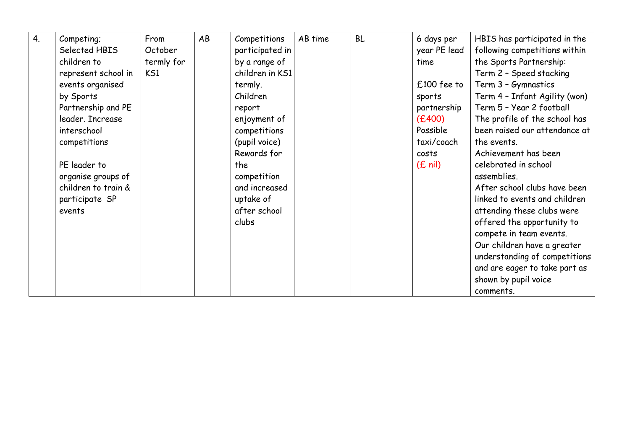| 4. | Competing;          | From       | AB | Competitions    | AB time | <b>BL</b> | 6 days per   | HBIS has participated in the  |
|----|---------------------|------------|----|-----------------|---------|-----------|--------------|-------------------------------|
|    | Selected HBIS       | October    |    | participated in |         |           | year PE lead | following competitions within |
|    | children to         | termly for |    | by a range of   |         |           | time         | the Sports Partnership:       |
|    | represent school in | K51        |    | children in KS1 |         |           |              | Term 2 - Speed stacking       |
|    | events organised    |            |    | termly.         |         |           | £100 fee to  | Term 3 - Gymnastics           |
|    | by Sports           |            |    | Children        |         |           | sports       | Term 4 - Infant Agility (won) |
|    | Partnership and PE  |            |    | report          |         |           | partnership  | Term 5 - Year 2 football      |
|    | leader. Increase    |            |    | enjoyment of    |         |           | (E400)       | The profile of the school has |
|    | interschool         |            |    | competitions    |         |           | Possible     | been raised our attendance at |
|    | competitions        |            |    | (pupil voice)   |         |           | taxi/coach   | the events.                   |
|    |                     |            |    | Rewards for     |         |           | costs        | Achievement has been          |
|    | PE leader to        |            |    | the             |         |           | $(E \nmin)$  | celebrated in school          |
|    | organise groups of  |            |    | competition     |         |           |              | assemblies.                   |
|    | children to train & |            |    | and increased   |         |           |              | After school clubs have been  |
|    | participate SP      |            |    | uptake of       |         |           |              | linked to events and children |
|    | events              |            |    | after school    |         |           |              | attending these clubs were    |
|    |                     |            |    | clubs           |         |           |              | offered the opportunity to    |
|    |                     |            |    |                 |         |           |              | compete in team events.       |
|    |                     |            |    |                 |         |           |              | Our children have a greater   |
|    |                     |            |    |                 |         |           |              | understanding of competitions |
|    |                     |            |    |                 |         |           |              | and are eager to take part as |
|    |                     |            |    |                 |         |           |              | shown by pupil voice          |
|    |                     |            |    |                 |         |           |              | comments.                     |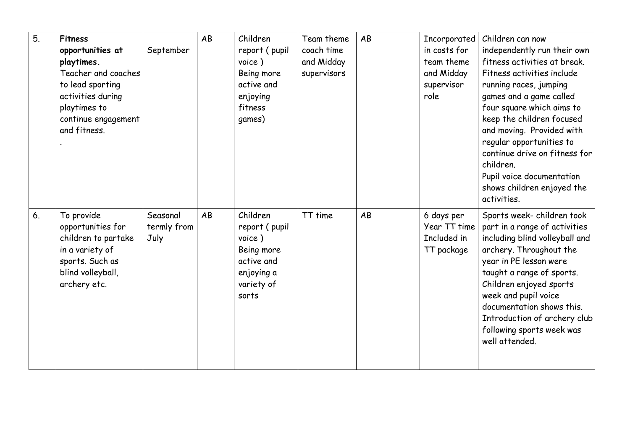| 5 <sub>1</sub><br><b>Fitness</b><br>opportunities at<br>playtimes.<br>Teacher and coaches<br>to lead sporting<br>activities during<br>playtimes to<br>continue engagement<br>and fitness. | September                       | AB | Children<br>report (pupil<br>voice)<br>Being more<br>active and<br>enjoying<br>fitness<br>games)     | Team theme<br>coach time<br>and Midday<br>supervisors | AB | Incorporated<br>in costs for<br>team theme<br>and Midday<br>supervisor<br>role | Children can now<br>independently run their own<br>fitness activities at break.<br>Fitness activities include<br>running races, jumping<br>games and a game called<br>four square which aims to<br>keep the children focused<br>and moving. Provided with<br>regular opportunities to<br>continue drive on fitness for<br>children.                                                                                      |
|-------------------------------------------------------------------------------------------------------------------------------------------------------------------------------------------|---------------------------------|----|------------------------------------------------------------------------------------------------------|-------------------------------------------------------|----|--------------------------------------------------------------------------------|--------------------------------------------------------------------------------------------------------------------------------------------------------------------------------------------------------------------------------------------------------------------------------------------------------------------------------------------------------------------------------------------------------------------------|
| 6.<br>To provide<br>opportunities for<br>children to partake<br>in a variety of<br>sports. Such as<br>blind volleyball,<br>archery etc.                                                   | Seasonal<br>termly from<br>July | AB | Children<br>report (pupil<br>voice)<br>Being more<br>active and<br>enjoying a<br>variety of<br>sorts | TT time                                               | AB | 6 days per<br>Year TT time<br>Included in<br>TT package                        | Pupil voice documentation<br>shows children enjoyed the<br>activities.<br>Sports week- children took<br>part in a range of activities<br>including blind volleyball and<br>archery. Throughout the<br>year in PE lesson were<br>taught a range of sports.<br>Children enjoyed sports<br>week and pupil voice<br>documentation shows this.<br>Introduction of archery club<br>following sports week was<br>well attended. |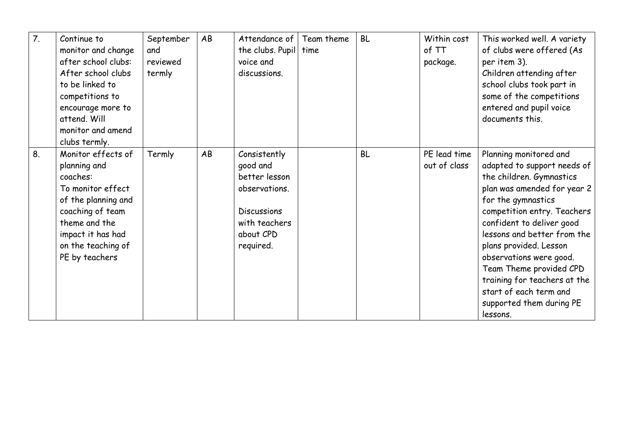| $\overline{7}$ . | Continue to         | September | AB | Attendance of           | Team theme | <b>BL</b> | Within cost  | This worked well. A variety  |
|------------------|---------------------|-----------|----|-------------------------|------------|-----------|--------------|------------------------------|
|                  | monitor and change  | and       |    | the clubs. Pupil   time |            |           | of TT        | of clubs were offered (As    |
|                  | after school clubs: | reviewed  |    | voice and               |            |           | package.     | per item 3).                 |
|                  | After school clubs  | termly    |    | discussions.            |            |           |              | Children attending after     |
|                  | to be linked to     |           |    |                         |            |           |              | school clubs took part in    |
|                  | competitions to     |           |    |                         |            |           |              | some of the competitions     |
|                  | encourage more to   |           |    |                         |            |           |              | entered and pupil voice      |
|                  | attend. Will        |           |    |                         |            |           |              | documents this.              |
|                  | monitor and amend   |           |    |                         |            |           |              |                              |
|                  | clubs termly.       |           |    |                         |            |           |              |                              |
| 8.               | Monitor effects of  | Termly    | AB | Consistently            |            | <b>BL</b> | PE lead time | Planning monitored and       |
|                  | planning and        |           |    | good and                |            |           | out of class | adapted to support needs of  |
|                  | coaches:            |           |    | better lesson           |            |           |              | the children. Gymnastics     |
|                  | To monitor effect   |           |    | observations.           |            |           |              | plan was amended for year 2  |
|                  | of the planning and |           |    |                         |            |           |              | for the gymnastics           |
|                  | coaching of team    |           |    | <b>Discussions</b>      |            |           |              | competition entry. Teachers  |
|                  | theme and the       |           |    | with teachers           |            |           |              | confident to deliver good    |
|                  | impact it has had   |           |    | about CPD               |            |           |              | lessons and better from the  |
|                  | on the teaching of  |           |    | required.               |            |           |              | plans provided. Lesson       |
|                  | PE by teachers      |           |    |                         |            |           |              | observations were good.      |
|                  |                     |           |    |                         |            |           |              | Team Theme provided CPD      |
|                  |                     |           |    |                         |            |           |              | training for teachers at the |
|                  |                     |           |    |                         |            |           |              | start of each term and       |
|                  |                     |           |    |                         |            |           |              | supported them during PE     |
|                  |                     |           |    |                         |            |           |              | lessons.                     |